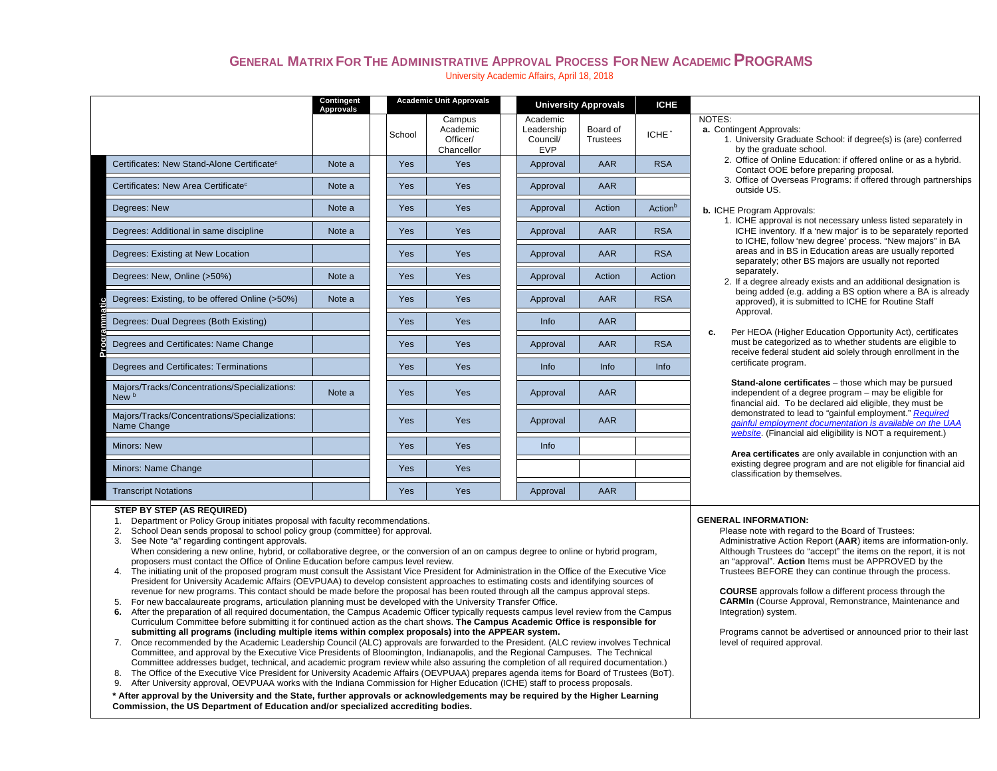## **GENERAL MATRIX FOR THE ADMINISTRATIVE APPROVAL PROCESS FOR NEW ACADEMIC PROGRAMS**University Academic Affairs, April 18, 2018

|                                                              | <b>Contingent</b><br>Approvals | <b>Academic Unit Approvals</b> |                                              | <b>University Approvals</b>                      |                             | <b>ICHE</b>         |                                                                                                                                                                                            |  |  |  |
|--------------------------------------------------------------|--------------------------------|--------------------------------|----------------------------------------------|--------------------------------------------------|-----------------------------|---------------------|--------------------------------------------------------------------------------------------------------------------------------------------------------------------------------------------|--|--|--|
|                                                              |                                | School                         | Campus<br>Academic<br>Officer/<br>Chancellor | Academic<br>Leadership<br>Council/<br><b>EVP</b> | Board of<br><b>Trustees</b> | ICHE <sup>*</sup>   | NOTES:<br>a. Contingent Approvals:<br>1. University Graduate School: if degree(s) is (are) conferred<br>by the graduate school.                                                            |  |  |  |
| Certificates: New Stand-Alone Certificate <sup>c</sup>       | Note a                         | <b>Yes</b>                     | Yes                                          | Approval                                         | <b>AAR</b>                  | <b>RSA</b>          | 2. Office of Online Education: if offered online or as a hybrid.<br>Contact OOE before preparing proposal.                                                                                 |  |  |  |
| Certificates: New Area Certificate <sup>c</sup>              | Note a                         | <b>Yes</b>                     | Yes                                          | Approval                                         | AAR                         |                     | 3. Office of Overseas Programs: if offered through partnerships<br>outside US.                                                                                                             |  |  |  |
| Degrees: New                                                 | Note a                         | <b>Yes</b>                     | Yes                                          | Approval                                         | Action                      | Action <sup>b</sup> | <b>b.</b> ICHE Program Approvals:                                                                                                                                                          |  |  |  |
| Degrees: Additional in same discipline                       | Note a                         | <b>Yes</b>                     | <b>Yes</b>                                   | Approval                                         | <b>AAR</b>                  | <b>RSA</b>          | 1. ICHE approval is not necessary unless listed separately in<br>ICHE inventory. If a 'new major' is to be separately reported<br>to ICHE, follow 'new degree' process. "New majors" in BA |  |  |  |
| Degrees: Existing at New Location                            |                                | Yes                            | Yes                                          | Approval                                         | <b>AAR</b>                  | <b>RSA</b>          | areas and in BS in Education areas are usually reported<br>separately; other BS majors are usually not reported                                                                            |  |  |  |
| Degrees: New, Online (>50%)                                  | Note a                         | Yes                            | Yes                                          | Approval                                         | Action                      | Action              | separately.<br>2. If a degree already exists and an additional designation is                                                                                                              |  |  |  |
| Degrees: Existing, to be offered Online (>50%)               | Note a                         | <b>Yes</b>                     | <b>Yes</b>                                   | Approval                                         | AAR                         | <b>RSA</b>          | being added (e.g. adding a BS option where a BA is already<br>approved), it is submitted to ICHE for Routine Staff                                                                         |  |  |  |
| Degrees: Dual Degrees (Both Existing)                        |                                | <b>Yes</b>                     | Yes                                          | Info                                             | AAR                         |                     | Approval.<br>Per HEOA (Higher Education Opportunity Act), certificates<br>c.                                                                                                               |  |  |  |
| Degrees and Certificates: Name Change                        |                                | <b>Yes</b>                     | <b>Yes</b>                                   | Approval                                         | <b>AAR</b>                  | <b>RSA</b>          | must be categorized as to whether students are eligible to<br>receive federal student aid solely through enrollment in the                                                                 |  |  |  |
| Degrees and Certificates: Terminations                       |                                | Yes                            | Yes                                          | Info                                             | Info                        | Info                | certificate program.                                                                                                                                                                       |  |  |  |
| Majors/Tracks/Concentrations/Specializations:<br>New b       | Note a                         | Yes                            | Yes                                          | Approval                                         | AAR                         |                     | Stand-alone certificates - those which may be pursued<br>independent of a degree program – may be eligible for<br>financial aid. To be declared aid eligible, they must be                 |  |  |  |
| Majors/Tracks/Concentrations/Specializations:<br>Name Change |                                | Yes                            | Yes                                          | Approval                                         | AAR                         |                     | demonstrated to lead to "gainful employment." Required<br>gainful employment documentation is available on the UAA<br>website. (Financial aid eligibility is NOT a requirement.)           |  |  |  |
| <b>Minors: New</b>                                           |                                | <b>Yes</b>                     | Yes                                          | Info                                             |                             |                     | Area certificates are only available in conjunction with an                                                                                                                                |  |  |  |
| Minors: Name Change                                          |                                | <b>Yes</b>                     | <b>Yes</b>                                   |                                                  |                             |                     | existing degree program and are not eligible for financial aid<br>classification by themselves.                                                                                            |  |  |  |
| <b>Transcript Notations</b>                                  |                                | <b>Yes</b>                     | Yes                                          | Approval                                         | AAR                         |                     |                                                                                                                                                                                            |  |  |  |

### **STEP BY STEP (AS REQUIRED)**

1. Department or Policy Group initiates proposal with faculty recommendations.

2. School Dean sends proposal to school policy group (committee) for approval.

3. See Note "a" regarding contingent approvals. When considering a new online, hybrid, or collaborative degree, or the conversion of an on campus degree to online or hybrid program, proposers must contact the Office of Online Education before campus level review.

4. The initiating unit of the proposed program must consult the Assistant Vice President for Administration in the Office of the Executive Vice President for University Academic Affairs (OEVPUAA) to develop consistent approaches to estimating costs and identifying sources of revenue for new programs. This contact should be made before the proposal has been routed through all the campus approval steps.

5. For new baccalaureate programs, articulation planning must be developed with the University Transfer Office.

**6.** After the preparation of all required documentation, the Campus Academic Officer typically requests campus level review from the Campus Curriculum Committee before submitting it for continued action as the chart shows. **The Campus Academic Office is responsible for submitting all programs (including multiple items within complex proposals) into the APPEAR system.**

- 7. Once recommended by the Academic Leadership Council (ALC) approvals are forwarded to the President. (ALC review involves Technical Committee, and approval by the Executive Vice Presidents of Bloomington, Indianapolis, and the Regional Campuses. The Technical Committee addresses budget, technical, and academic program review while also assuring the completion of all required documentation.)
- 8. The Office of the Executive Vice President for University Academic Affairs (OEVPUAA) prepares agenda items for Board of Trustees (BoT).
- 9. After University approval, OEVPUAA works with the Indiana Commission for Higher Education (ICHE) staff to process proposals.

**\* After approval by the University and the State, further approvals or acknowledgements may be required by the Higher Learning Commission, the US Department of Education and/or specialized accrediting bodies.**

#### **GENERAL INFORMATION:**

Please note with regard to the Board of Trustees: Administrative Action Report (**AAR**) items are information-only. Although Trustees do "accept" the items on the report, it is not an "approval". **Action** Items must be APPROVED by the Trustees BEFORE they can continue through the process.

**COURSE** approvals follow a different process through the **CARMIn** (Course Approval, Remonstrance, Maintenance and Integration) system.

Programs cannot be advertised or announced prior to their last level of required approval.